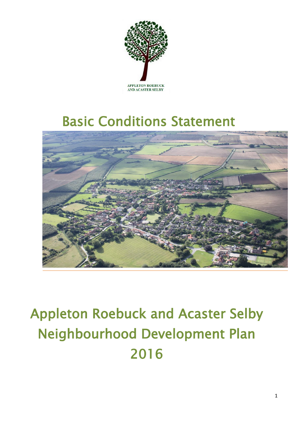

## Basic Conditions Statement



# Appleton Roebuck and Acaster Selby Neighbourhood Development Plan 2016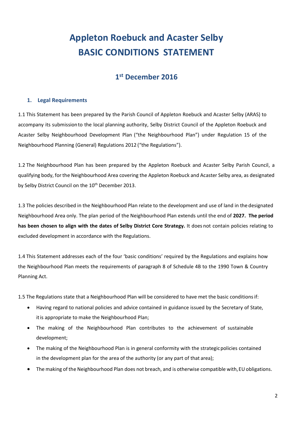### **Appleton Roebuck and Acaster Selby BASIC CONDITIONS STATEMENT**

#### **1 st December 2016**

#### **1. Legal Requirements**

1.1 This Statement has been prepared by the Parish Council of Appleton Roebuck and Acaster Selby (ARAS) to accompany its submissionto the local planning authority, Selby District Council of the Appleton Roebuck and Acaster Selby Neighbourhood Development Plan ("the Neighbourhood Plan") under Regulation 15 of the Neighbourhood Planning (General) Regulations 2012 ("the Regulations").

1.2 The Neighbourhood Plan has been prepared by the Appleton Roebuck and Acaster Selby Parish Council, a qualifying body, for the Neighbourhood Area covering the Appleton Roebuck and Acaster Selby area, as designated by Selby District Council on the 10<sup>th</sup> December 2013.

1.3 The policies described in the Neighbourhood Plan relate to the development and use of land in the designated Neighbourhood Area only. The plan period of the Neighbourhood Plan extends until the end of **2027. The period has been chosen to align with the dates of Selby District Core Strategy.** It does not contain policies relating to excluded development in accordance with the Regulations.

1.4 This Statement addresses each of the four 'basic conditions' required by the Regulations and explains how the Neighbourhood Plan meets the requirements of paragraph 8 of Schedule 4B to the 1990 Town & Country Planning Act.

1.5 The Regulations state that a Neighbourhood Plan will be considered to have met the basic conditionsif:

- Having regard to national policies and advice contained in guidance issued by the Secretary of State, itis appropriate to make the Neighbourhood Plan;
- The making of the Neighbourhood Plan contributes to the achievement of sustainable development;
- The making of the Neighbourhood Plan is in general conformity with the strategicpolicies contained in the development plan for the area of the authority (or any part of that area);
- The making of the Neighbourhood Plan does not breach, and is otherwise compatible with,EU obligations.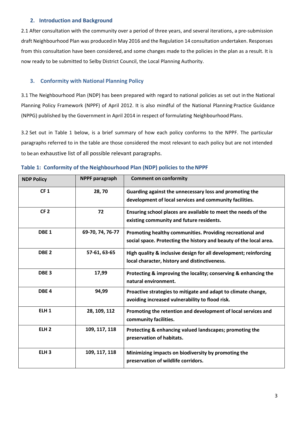#### **2. Introduction and Background**

2.1 After consultation with the community over a period of three years, and several iterations, a pre-submission draft Neighbourhood Plan was producedin May 2016 and the Regulation 14 consultation undertaken. Responses from this consultation have been considered, and some changes made to the policies in the plan as a result. It is now ready to be submitted to Selby District Council, the Local Planning Authority.

#### **3. Conformity with National Planning Policy**

3.1 The Neighbourhood Plan (NDP) has been prepared with regard to national policies as set out in the National Planning Policy Framework (NPPF) of April 2012. It is also mindful of the National Planning Practice Guidance (NPPG) published by the Government in April 2014 in respect of formulating Neighbourhood Plans.

3.2 Set out in Table 1 below, is a brief summary of how each policy conforms to the NPPF. The particular paragraphs referred to in the table are those considered the most relevant to each policy but are not intended to bean exhaustive list of all possible relevant paragraphs.

| <b>NDP Policy</b> | <b>NPPF</b> paragraph | <b>Comment on conformity</b>                                                                                                    |
|-------------------|-----------------------|---------------------------------------------------------------------------------------------------------------------------------|
| CF <sub>1</sub>   | 28,70                 | Guarding against the unnecessary loss and promoting the<br>development of local services and community facilities.              |
| CF <sub>2</sub>   | 72                    | Ensuring school places are available to meet the needs of the<br>existing community and future residents.                       |
| DBE <sub>1</sub>  | 69-70, 74, 76-77      | Promoting healthy communities. Providing recreational and<br>social space. Protecting the history and beauty of the local area. |
| DBE <sub>2</sub>  | 57-61, 63-65          | High quality & inclusive design for all development; reinforcing<br>local character, history and distinctiveness.               |
| DBE <sub>3</sub>  | 17,99                 | Protecting & improving the locality; conserving & enhancing the<br>natural environment.                                         |
| DBE <sub>4</sub>  | 94,99                 | Proactive strategies to mitigate and adapt to climate change,<br>avoiding increased vulnerability to flood risk.                |
| ELH <sub>1</sub>  | 28, 109, 112          | Promoting the retention and development of local services and<br>community facilities.                                          |
| ELH <sub>2</sub>  | 109, 117, 118         | Protecting & enhancing valued landscapes; promoting the<br>preservation of habitats.                                            |
| ELH <sub>3</sub>  | 109, 117, 118         | Minimizing impacts on biodiversity by promoting the<br>preservation of wildlife corridors.                                      |

#### **Table 1: Conformity of the Neighbourhood Plan (NDP) policies to theNPPF**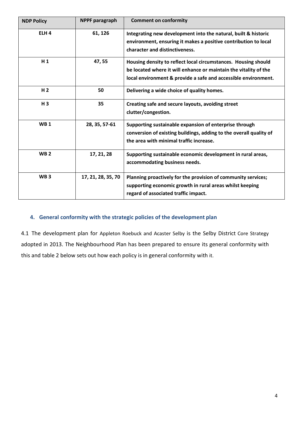| <b>NDP Policy</b> | <b>NPPF</b> paragraph | <b>Comment on conformity</b>                                                                                                                                                                         |
|-------------------|-----------------------|------------------------------------------------------------------------------------------------------------------------------------------------------------------------------------------------------|
| ELH <sub>4</sub>  | 61, 126               | Integrating new development into the natural, built & historic<br>environment, ensuring it makes a positive contribution to local<br>character and distinctiveness.                                  |
| H <sub>1</sub>    | 47,55                 | Housing density to reflect local circumstances. Housing should<br>be located where it will enhance or maintain the vitality of the<br>local environment & provide a safe and accessible environment. |
| H <sub>2</sub>    | 50                    | Delivering a wide choice of quality homes.                                                                                                                                                           |
| H <sub>3</sub>    | 35                    | Creating safe and secure layouts, avoiding street<br>clutter/congestion.                                                                                                                             |
| <b>WB1</b>        | 28, 35, 57-61         | Supporting sustainable expansion of enterprise through<br>conversion of existing buildings, adding to the overall quality of<br>the area with minimal traffic increase.                              |
| WB <sub>2</sub>   | 17, 21, 28            | Supporting sustainable economic development in rural areas,<br>accommodating business needs.                                                                                                         |
| WB <sub>3</sub>   | 17, 21, 28, 35, 70    | Planning proactively for the provision of community services;<br>supporting economic growth in rural areas whilst keeping<br>regard of associated traffic impact.                                    |

#### **4. General conformity with the strategic policies of the development plan**

4.1 The development plan for Appleton Roebuck and Acaster Selby is the Selby District Core Strategy adopted in 2013. The Neighbourhood Plan has been prepared to ensure its general conformity with this and table 2 below sets out how each policy is in general conformity with it.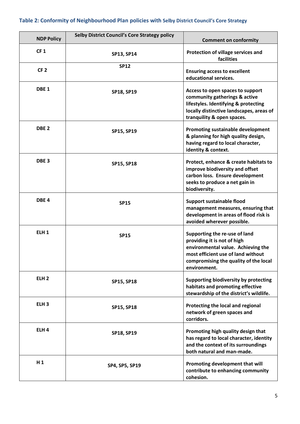#### **Table 2: Conformity of Neighbourhood Plan policies with Selby District Council's Core Strategy**

| <b>NDP Policy</b> | <b>Selby District Council's Core Strategy policy</b> | <b>Comment on conformity</b>                                                                                                                                                                      |
|-------------------|------------------------------------------------------|---------------------------------------------------------------------------------------------------------------------------------------------------------------------------------------------------|
| CF <sub>1</sub>   | <b>SP13, SP14</b>                                    | Protection of village services and<br>facilities                                                                                                                                                  |
| CF <sub>2</sub>   | <b>SP12</b>                                          | <b>Ensuring access to excellent</b><br>educational services.                                                                                                                                      |
| DBE <sub>1</sub>  | <b>SP18, SP19</b>                                    | Access to open spaces to support<br>community gatherings & active<br>lifestyles. Identifying & protecting<br>locally distinctive landscapes, areas of<br>tranquility & open spaces.               |
| DBE <sub>2</sub>  | SP15, SP19                                           | Promoting sustainable development<br>& planning for high quality design,<br>having regard to local character,<br>identity & context.                                                              |
| DBE <sub>3</sub>  | <b>SP15, SP18</b>                                    | Protect, enhance & create habitats to<br>improve biodiversity and offset<br>carbon loss. Ensure development<br>seeks to produce a net gain in<br>biodiversity.                                    |
| DBE <sub>4</sub>  | <b>SP15</b>                                          | Support sustainable flood<br>management measures, ensuring that<br>development in areas of flood risk is<br>avoided wherever possible.                                                            |
| ELH <sub>1</sub>  | <b>SP15</b>                                          | Supporting the re-use of land<br>providing it is not of high<br>environmental value. Achieving the<br>most efficient use of land without<br>compromising the quality of the local<br>environment. |
| ELH <sub>2</sub>  | <b>SP15, SP18</b>                                    | Supporting biodiversity by protecting<br>habitats and promoting effective<br>stewardship of the district's wildlife.                                                                              |
| ELH <sub>3</sub>  | <b>SP15, SP18</b>                                    | Protecting the local and regional<br>network of green spaces and<br>corridors.                                                                                                                    |
| ELH <sub>4</sub>  | <b>SP18, SP19</b>                                    | Promoting high quality design that<br>has regard to local character, identity<br>and the context of its surroundings<br>both natural and man-made.                                                |
| $H_1$             | SP4, SP5, SP19                                       | Promoting development that will<br>contribute to enhancing community<br>cohesion.                                                                                                                 |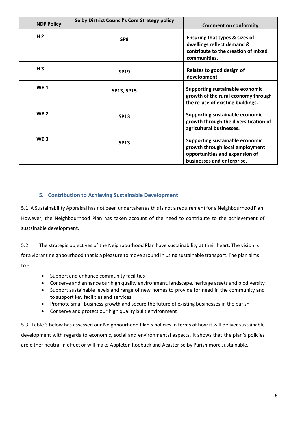| <b>NDP Policy</b> | <b>Selby District Council's Core Strategy policy</b> | <b>Comment on conformity</b>                                                                                                       |
|-------------------|------------------------------------------------------|------------------------------------------------------------------------------------------------------------------------------------|
| H <sub>2</sub>    | SP <sub>8</sub>                                      | Ensuring that types & sizes of<br>dwellings reflect demand &<br>contribute to the creation of mixed<br>communities.                |
| $H_3$             | <b>SP19</b>                                          | Relates to good design of<br>development                                                                                           |
| <b>WB1</b>        | <b>SP13, SP15</b>                                    | <b>Supporting sustainable economic</b><br>growth of the rural economy through<br>the re-use of existing buildings.                 |
| <b>WB2</b>        | <b>SP13</b>                                          | Supporting sustainable economic<br>growth through the diversification of<br>agricultural businesses.                               |
| WB <sub>3</sub>   | <b>SP13</b>                                          | Supporting sustainable economic<br>growth through local employment<br>opportunities and expansion of<br>businesses and enterprise. |

#### **5. Contribution to Achieving Sustainable Development**

5.1 A Sustainability Appraisal has not been undertaken as this is not a requirement for a NeighbourhoodPlan. However, the Neighbourhood Plan has taken account of the need to contribute to the achievement of sustainable development.

5.2 The strategic objectives of the Neighbourhood Plan have sustainability at their heart. The vision is fora vibrant neighbourhood that is a pleasure to move around in using sustainable transport. The plan aims to:-

- Support and enhance community facilities
- Conserve and enhance our high quality environment, landscape, heritage assets and biodiversity
- Support sustainable levels and range of new homes to provide for need in the community and to support key facilities and services
- Promote small business growth and secure the future of existing businesses in the parish
- Conserve and protect our high quality built environment

5.3 Table 3 below has assessed our Neighbourhood Plan's policies in terms of how it will deliver sustainable development with regards to economic, social and environmental aspects. It shows that the plan's policies are either neutral in effect or will make Appleton Roebuck and Acaster Selby Parish more sustainable.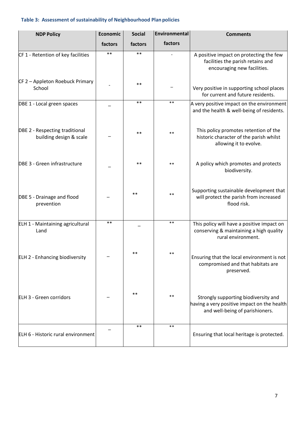#### **Table 3: Assessment of sustainability of Neighbourhood Plan policies**

| <b>NDP Policy</b>                                         | <b>Economic</b> | <b>Social</b> | Environmental | <b>Comments</b>                                                                                                        |
|-----------------------------------------------------------|-----------------|---------------|---------------|------------------------------------------------------------------------------------------------------------------------|
|                                                           | factors         | factors       | factors       |                                                                                                                        |
| CF 1 - Retention of key facilities                        | $***$           | $**$          |               | A positive impact on protecting the few<br>facilities the parish retains and<br>encouraging new facilities.            |
| CF 2 - Appleton Roebuck Primary<br>School                 |                 | $***$         |               | Very positive in supporting school places<br>for current and future residents.                                         |
| DBE 1 - Local green spaces                                |                 | $***$         | $***$         | A very positive impact on the environment<br>and the health & well-being of residents.                                 |
| DBE 2 - Respecting traditional<br>building design & scale |                 | $***$         | $***$         | This policy promotes retention of the<br>historic character of the parish whilst<br>allowing it to evolve.             |
| DBE 3 - Green infrastructure                              |                 | $***$         | $***$         | A policy which promotes and protects<br>biodiversity.                                                                  |
| DBE 5 - Drainage and flood<br>prevention                  |                 | $***$         | $***$         | Supporting sustainable development that<br>will protect the parish from increased<br>flood risk.                       |
| ELH 1 - Maintaining agricultural<br>Land                  | $***$           |               | $***$         | This policy will have a positive impact on<br>conserving & maintaining a high quality<br>rural environment.            |
| <b>ELH 2 - Enhancing biodiversity</b>                     |                 | $***$         | **            | Ensuring that the local environment is not<br>compromised and that habitats are<br>preserved.                          |
| <b>ELH 3 - Green corridors</b>                            |                 | $***$         | $***$         | Strongly supporting biodiversity and<br>having a very positive impact on the health<br>and well-being of parishioners. |
| ELH 6 - Historic rural environment                        |                 | $***$         | $***$         | Ensuring that local heritage is protected.                                                                             |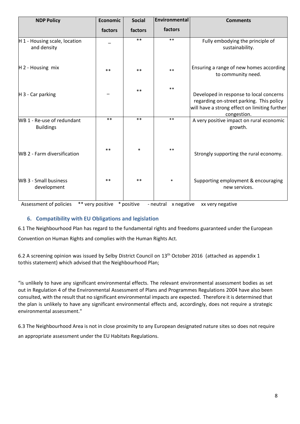| <b>NDP Policy</b>                              | Economic | <b>Social</b> | Environmental | <b>Comments</b>                                                                                                                                     |
|------------------------------------------------|----------|---------------|---------------|-----------------------------------------------------------------------------------------------------------------------------------------------------|
|                                                | factors  | factors       | factors       |                                                                                                                                                     |
| H 1 - Housing scale, location<br>and density   |          | $**$          | $***$         | Fully embodying the principle of<br>sustainability.                                                                                                 |
| $H$ 2 - Housing mix                            | $***$    | $***$         | $***$         | Ensuring a range of new homes according<br>to community need.                                                                                       |
| H 3 - Car parking                              |          | $***$         | $***$         | Developed in response to local concerns<br>regarding on-street parking. This policy<br>will have a strong effect on limiting further<br>congestion. |
| WB 1 - Re-use of redundant<br><b>Buildings</b> | $**$     | $**$          | $***$         | A very positive impact on rural economic<br>growth.                                                                                                 |
| <b>WB 2 - Farm diversification</b>             | $***$    | $\ast$        | $***$         | Strongly supporting the rural economy.                                                                                                              |
| <b>WB 3 - Small business</b><br>development    | $***$    | $***$         | $\ast$        | Supporting employment & encouraging<br>new services.                                                                                                |

Assessment of policies \*\* very positive \* positive - neutral x negative xx very negative

#### **6. Compatibility with EU Obligations and legislation**

6.1 The Neighbourhood Plan has regard to the fundamental rights and freedoms guaranteed under the European

Convention on Human Rights and complies with the Human Rights Act.

6.2 A screening opinion was issued by Selby District Council on 13<sup>th</sup> October 2016 (attached as appendix 1 tothis statement) which advised that the Neighbourhood Plan;

"is unlikely to have any significant environmental effects. The relevant environmental assessment bodies as set out in Regulation 4 of the Environmental Assessment of Plans and Programmes Regulations 2004 have also been consulted, with the result that no significant environmental impacts are expected. Therefore it is determined that the plan is unlikely to have any significant environmental effects and, accordingly, does not require a strategic environmental assessment."

6.3 The Neighbourhood Area is not in close proximity to any European designated nature sites so does not require an appropriate assessment under the EU Habitats Regulations.